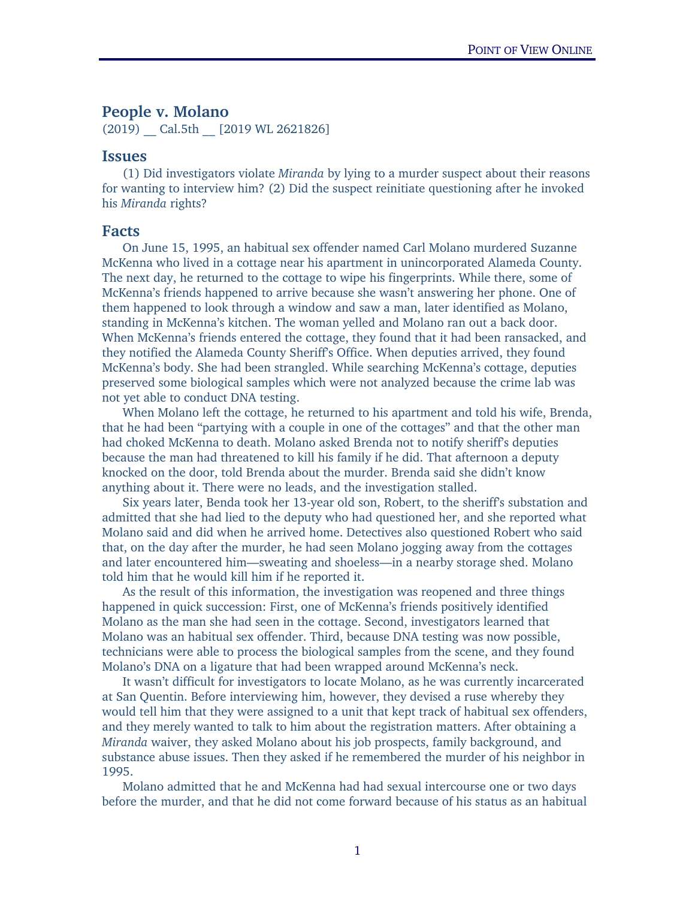# People v. Molano

(2019) Cal.5th [2019 WL 2621826]

## Issues

(1) Did investigators violate *Miranda* by lying to a murder suspect about their reasons for wanting to interview him? (2) Did the suspect reinitiate questioning after he invoked his *Miranda* rights?

#### Facts

On June 15, 1995, an habitual sex offender named Carl Molano murdered Suzanne McKenna who lived in a cottage near his apartment in unincorporated Alameda County. The next day, he returned to the cottage to wipe his fingerprints. While there, some of McKenna's friends happened to arrive because she wasn't answering her phone. One of them happened to look through a window and saw a man, later identified as Molano, standing in McKenna's kitchen. The woman yelled and Molano ran out a back door. When McKenna's friends entered the cottage, they found that it had been ransacked, and they notified the Alameda County Sheriff's Office. When deputies arrived, they found McKenna's body. She had been strangled. While searching McKenna's cottage, deputies preserved some biological samples which were not analyzed because the crime lab was not yet able to conduct DNA testing.

When Molano left the cottage, he returned to his apartment and told his wife, Brenda, that he had been "partying with a couple in one of the cottages" and that the other man had choked McKenna to death. Molano asked Brenda not to notify sheriff's deputies because the man had threatened to kill his family if he did. That afternoon a deputy knocked on the door, told Brenda about the murder. Brenda said she didn't know anything about it. There were no leads, and the investigation stalled.

Six years later, Benda took her 13-year old son, Robert, to the sheriff's substation and admitted that she had lied to the deputy who had questioned her, and she reported what Molano said and did when he arrived home. Detectives also questioned Robert who said that, on the day after the murder, he had seen Molano jogging away from the cottages and later encountered him—sweating and shoeless—in a nearby storage shed. Molano told him that he would kill him if he reported it.

As the result of this information, the investigation was reopened and three things happened in quick succession: First, one of McKenna's friends positively identified Molano as the man she had seen in the cottage. Second, investigators learned that Molano was an habitual sex offender. Third, because DNA testing was now possible, technicians were able to process the biological samples from the scene, and they found Molano's DNA on a ligature that had been wrapped around McKenna's neck.

It wasn't difficult for investigators to locate Molano, as he was currently incarcerated at San Quentin. Before interviewing him, however, they devised a ruse whereby they would tell him that they were assigned to a unit that kept track of habitual sex offenders, and they merely wanted to talk to him about the registration matters. After obtaining a *Miranda* waiver, they asked Molano about his job prospects, family background, and substance abuse issues. Then they asked if he remembered the murder of his neighbor in 1995.

Molano admitted that he and McKenna had had sexual intercourse one or two days before the murder, and that he did not come forward because of his status as an habitual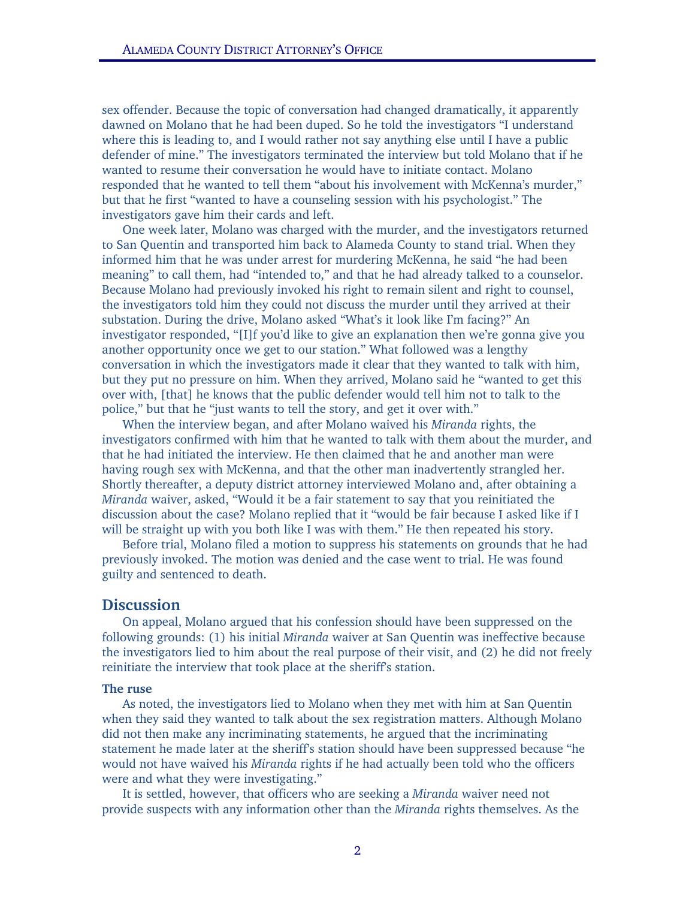sex offender. Because the topic of conversation had changed dramatically, it apparently dawned on Molano that he had been duped. So he told the investigators "I understand where this is leading to, and I would rather not say anything else until I have a public defender of mine." The investigators terminated the interview but told Molano that if he wanted to resume their conversation he would have to initiate contact. Molano responded that he wanted to tell them "about his involvement with McKenna's murder," but that he first "wanted to have a counseling session with his psychologist." The investigators gave him their cards and left.

One week later, Molano was charged with the murder, and the investigators returned to San Quentin and transported him back to Alameda County to stand trial. When they informed him that he was under arrest for murdering McKenna, he said "he had been meaning" to call them, had "intended to," and that he had already talked to a counselor. Because Molano had previously invoked his right to remain silent and right to counsel, the investigators told him they could not discuss the murder until they arrived at their substation. During the drive, Molano asked "What's it look like I'm facing?" An investigator responded, "[I]f you'd like to give an explanation then we're gonna give you another opportunity once we get to our station." What followed was a lengthy conversation in which the investigators made it clear that they wanted to talk with him, but they put no pressure on him. When they arrived, Molano said he "wanted to get this over with, [that] he knows that the public defender would tell him not to talk to the police," but that he "just wants to tell the story, and get it over with."

When the interview began, and after Molano waived his *Miranda* rights, the investigators confirmed with him that he wanted to talk with them about the murder, and that he had initiated the interview. He then claimed that he and another man were having rough sex with McKenna, and that the other man inadvertently strangled her. Shortly thereafter, a deputy district attorney interviewed Molano and, after obtaining a *Miranda* waiver, asked, "Would it be a fair statement to say that you reinitiated the discussion about the case? Molano replied that it "would be fair because I asked like if I will be straight up with you both like I was with them." He then repeated his story.

Before trial, Molano filed a motion to suppress his statements on grounds that he had previously invoked. The motion was denied and the case went to trial. He was found guilty and sentenced to death.

# **Discussion**

On appeal, Molano argued that his confession should have been suppressed on the following grounds: (1) his initial *Miranda* waiver at San Quentin was ineffective because the investigators lied to him about the real purpose of their visit, and (2) he did not freely reinitiate the interview that took place at the sheriff's station.

#### The ruse

As noted, the investigators lied to Molano when they met with him at San Quentin when they said they wanted to talk about the sex registration matters. Although Molano did not then make any incriminating statements, he argued that the incriminating statement he made later at the sheriff's station should have been suppressed because "he would not have waived his *Miranda* rights if he had actually been told who the officers were and what they were investigating."

It is settled, however, that officers who are seeking a *Miranda* waiver need not provide suspects with any information other than the *Miranda* rights themselves. As the